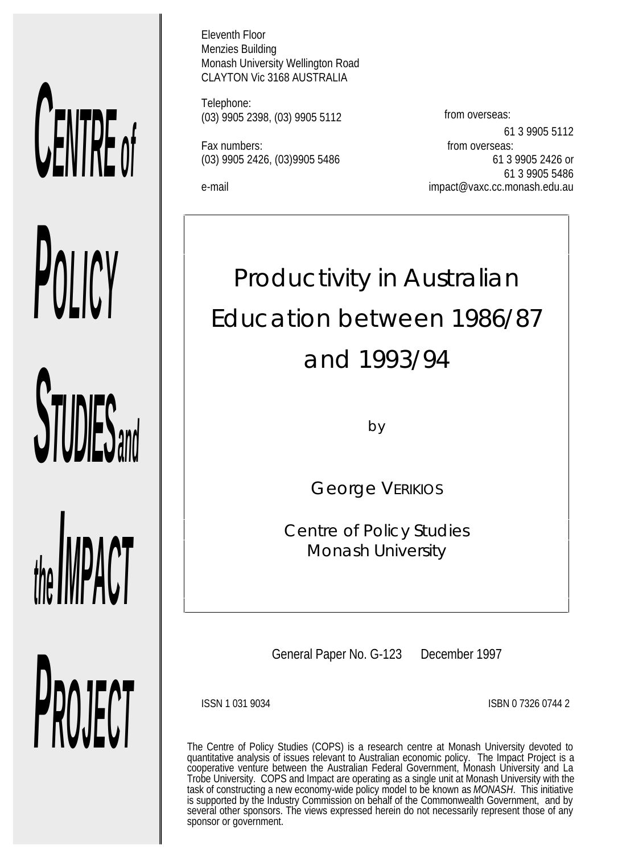# *CENTRE of*

*POLICY*

*STUDIES and*

*PROJECT*

*the livil time* is

Eleventh Floor Menzies Building Monash University Wellington Road CLAYTON Vic 3168 AUSTRALIA

Telephone: (03) 9905 2398, (03) 9905 5112 from overseas:

Fax numbers: Fax numbers: Fax numbers:

61 3 9905 5112 (03) 9905 2426, (03)9905 5486 61 3 9905 2426 or 61 3 9905 5486 e-mail impact@vaxc.cc.monash.edu.au

# Productivity in Australian Education between 1986/87 and 1993/94

by

George VERIKIOS

*Centre of Policy Studies Monash University*

General Paper No. G-123 December 1997

ISSN 1 031 9034 ISBN 0 7326 0744 2

The Centre of Policy Studies (COPS) is a research centre at Monash University devoted to quantitative analysis of issues relevant to Australian economic policy. The Impact Project is a cooperative venture between the Australian Federal Government, Monash University and La Trobe University. COPS and Impact are operating as a single unit at Monash University with the task of constructing a new economy-wide policy model to be known as *MONASH*. This initiative is supported by the Industry Commission on behalf of the Commonwealth Government, and by several other sponsors. The views expressed herein do not necessarily represent those of any sponsor or government.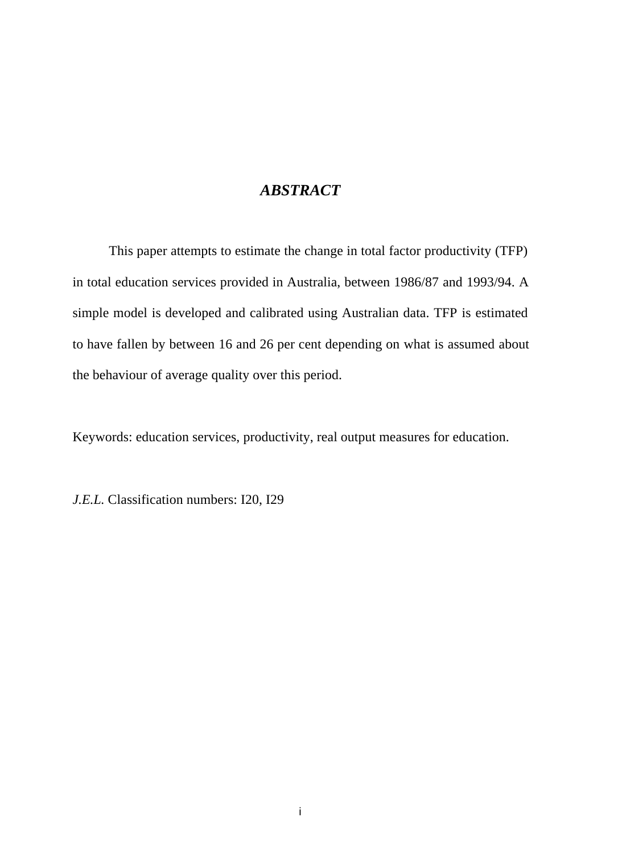### *ABSTRACT*

This paper attempts to estimate the change in total factor productivity (TFP) in total education services provided in Australia, between 1986/87 and 1993/94. A simple model is developed and calibrated using Australian data. TFP is estimated to have fallen by between 16 and 26 per cent depending on what is assumed about the behaviour of average quality over this period.

Keywords: education services, productivity, real output measures for education.

*J.E.L.* Classification numbers: I20, I29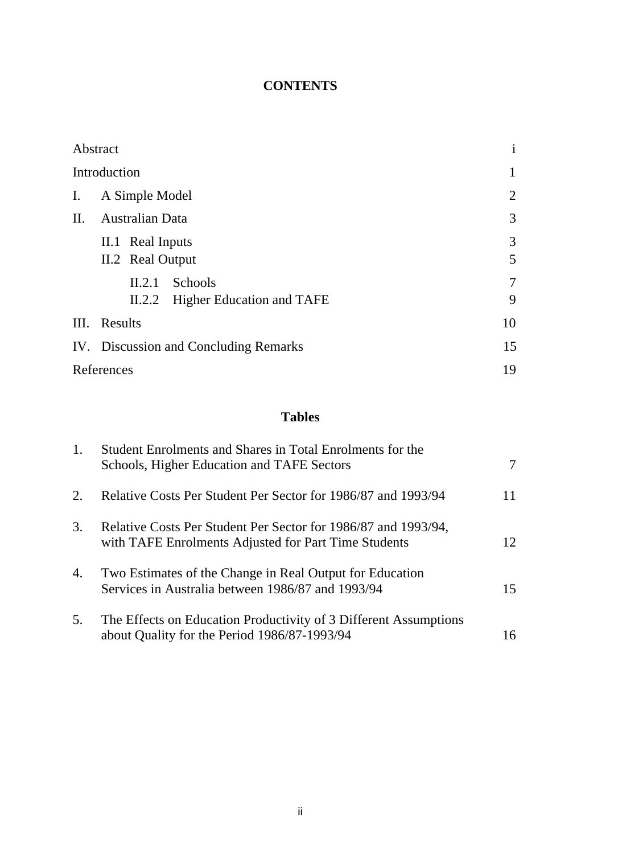### **CONTENTS**

|                | Abstract                                   | $\mathbf{i}$   |
|----------------|--------------------------------------------|----------------|
|                | Introduction                               | $\mathbf{1}$   |
| $\mathbf{I}$ . | A Simple Model                             | $\overline{2}$ |
| II.            | Australian Data                            | 3              |
|                | II.1 Real Inputs                           | 3              |
|                | II.2 Real Output                           | 5              |
|                | Schools<br>II.2.1                          | $\overline{7}$ |
|                | <b>Higher Education and TAFE</b><br>II.2.2 | 9              |
|                | III. Results                               | 10             |
|                | IV. Discussion and Concluding Remarks      |                |
|                | References                                 | 19             |

### **Tables**

| 1. | Student Enrolments and Shares in Total Enrolments for the<br>Schools, Higher Education and TAFE Sectors                | 7  |
|----|------------------------------------------------------------------------------------------------------------------------|----|
| 2. | Relative Costs Per Student Per Sector for 1986/87 and 1993/94                                                          | 11 |
| 3. | Relative Costs Per Student Per Sector for 1986/87 and 1993/94,<br>with TAFE Enrolments Adjusted for Part Time Students | 12 |
| 4. | Two Estimates of the Change in Real Output for Education<br>Services in Australia between 1986/87 and 1993/94          | 15 |
| 5. | The Effects on Education Productivity of 3 Different Assumptions<br>about Quality for the Period 1986/87-1993/94       | 16 |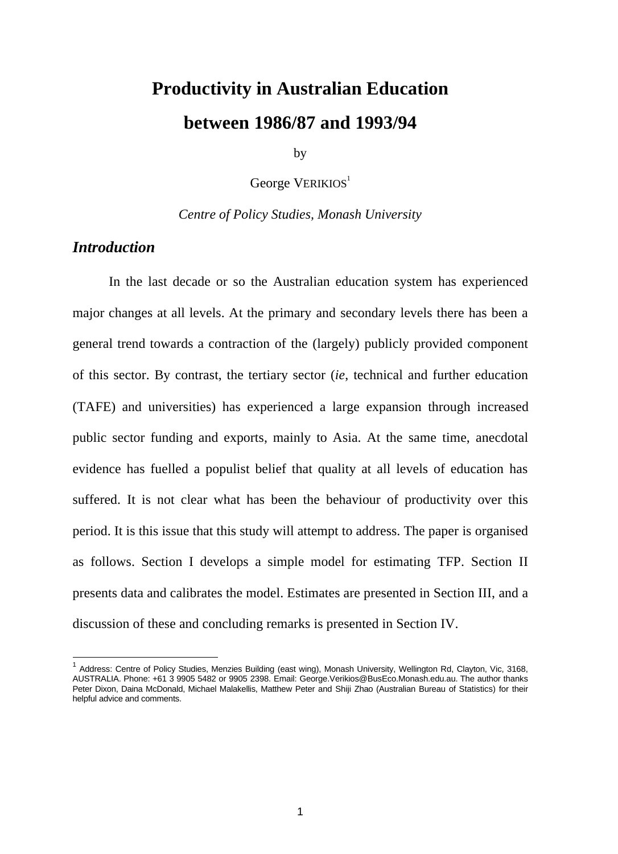# **Productivity in Australian Education between 1986/87 and 1993/94**

by

George VERIKIOS<sup>1</sup>

*Centre of Policy Studies, Monash University*

### *Introduction*

 $\overline{a}$ 

In the last decade or so the Australian education system has experienced major changes at all levels. At the primary and secondary levels there has been a general trend towards a contraction of the (largely) publicly provided component of this sector. By contrast, the tertiary sector (*ie*, technical and further education (TAFE) and universities) has experienced a large expansion through increased public sector funding and exports, mainly to Asia. At the same time, anecdotal evidence has fuelled a populist belief that quality at all levels of education has suffered. It is not clear what has been the behaviour of productivity over this period. It is this issue that this study will attempt to address. The paper is organised as follows. Section I develops a simple model for estimating TFP. Section II presents data and calibrates the model. Estimates are presented in Section III, and a discussion of these and concluding remarks is presented in Section IV.

<sup>&</sup>lt;sup>1</sup> Address: Centre of Policy Studies, Menzies Building (east wing), Monash University, Wellington Rd, Clayton, Vic, 3168, AUSTRALIA. Phone: +61 3 9905 5482 or 9905 2398. Email: George.Verikios@BusEco.Monash.edu.au. The author thanks Peter Dixon, Daina McDonald, Michael Malakellis, Matthew Peter and Shiji Zhao (Australian Bureau of Statistics) for their helpful advice and comments.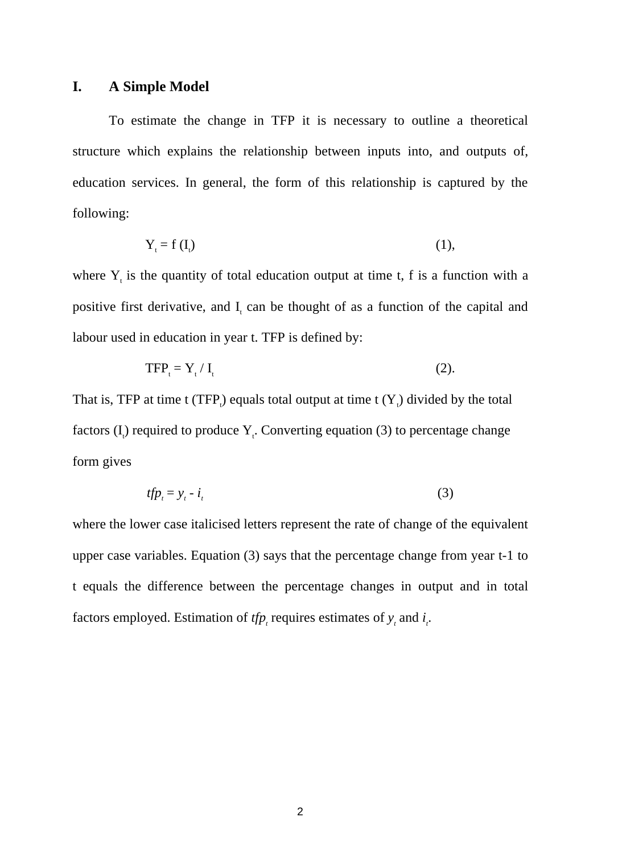### **I. A Simple Model**

To estimate the change in TFP it is necessary to outline a theoretical structure which explains the relationship between inputs into, and outputs of, education services. In general, the form of this relationship is captured by the following:

$$
Y_t = f(I_t) \tag{1},
$$

where  $Y_t$  is the quantity of total education output at time t, f is a function with a positive first derivative, and  $I_t$  can be thought of as a function of the capital and labour used in education in year t. TFP is defined by:

$$
TFPt = Yt/It
$$
 (2).

That is, TFP at time t (TFP<sub>i</sub>) equals total output at time t  $(Y_i)$  divided by the total factors  $(I_i)$  required to produce  $Y_i$ . Converting equation (3) to percentage change form gives

$$
tfp_t = y_t - i_t \tag{3}
$$

where the lower case italicised letters represent the rate of change of the equivalent upper case variables. Equation (3) says that the percentage change from year t-1 to t equals the difference between the percentage changes in output and in total factors employed. Estimation of  $tfp$ , requires estimates of  $y$ , and  $i$ .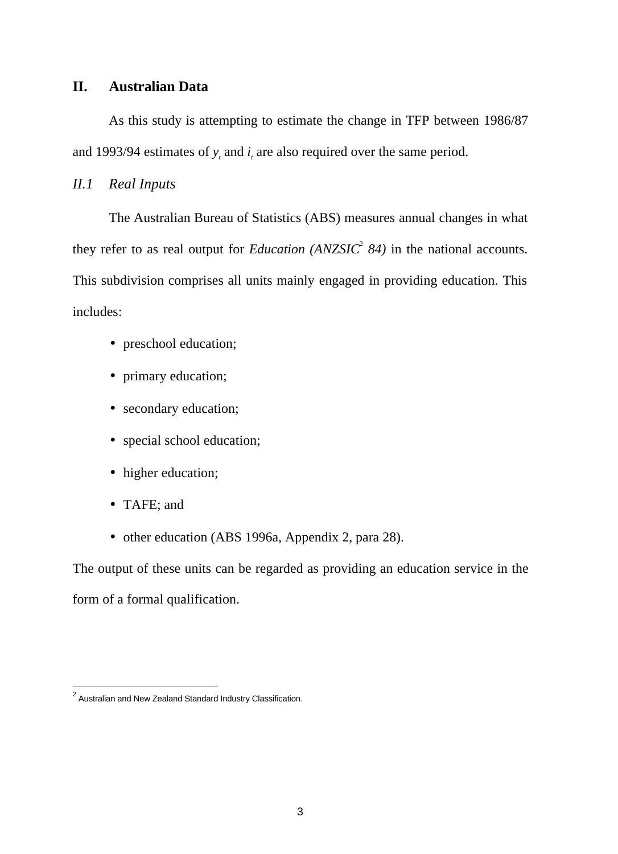### **II. Australian Data**

As this study is attempting to estimate the change in TFP between 1986/87 and 1993/94 estimates of  $y_t$  and  $i_t$  are also required over the same period.

### *II.1 Real Inputs*

The Australian Bureau of Statistics (ABS) measures annual changes in what they refer to as real output for *Education (ANZSIC*<sup>2</sup> 84) in the national accounts. This subdivision comprises all units mainly engaged in providing education. This includes:

- preschool education;
- primary education;
- secondary education;
- special school education;
- higher education;
- TAFE; and
- other education (ABS 1996a, Appendix 2, para 28).

The output of these units can be regarded as providing an education service in the form of a formal qualification.

 2 Australian and New Zealand Standard Industry Classification.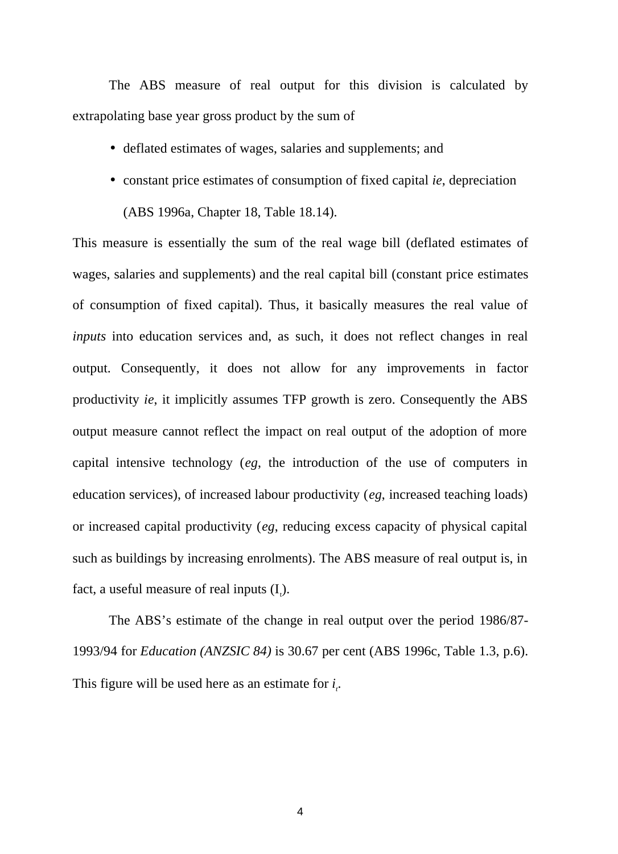The ABS measure of real output for this division is calculated by extrapolating base year gross product by the sum of

- deflated estimates of wages, salaries and supplements; and
- constant price estimates of consumption of fixed capital *ie*, depreciation (ABS 1996a, Chapter 18, Table 18.14).

This measure is essentially the sum of the real wage bill (deflated estimates of wages, salaries and supplements) and the real capital bill (constant price estimates of consumption of fixed capital). Thus, it basically measures the real value of *inputs* into education services and, as such, it does not reflect changes in real output. Consequently, it does not allow for any improvements in factor productivity *ie*, it implicitly assumes TFP growth is zero. Consequently the ABS output measure cannot reflect the impact on real output of the adoption of more capital intensive technology (*eg*, the introduction of the use of computers in education services), of increased labour productivity (*eg*, increased teaching loads) or increased capital productivity (*eg*, reducing excess capacity of physical capital such as buildings by increasing enrolments). The ABS measure of real output is, in fact, a useful measure of real inputs  $(I_{\cdot})$ .

The ABS's estimate of the change in real output over the period 1986/87- 1993/94 for *Education (ANZSIC 84)* is 30.67 per cent (ABS 1996c, Table 1.3, p.6). This figure will be used here as an estimate for  $i_{i}$ .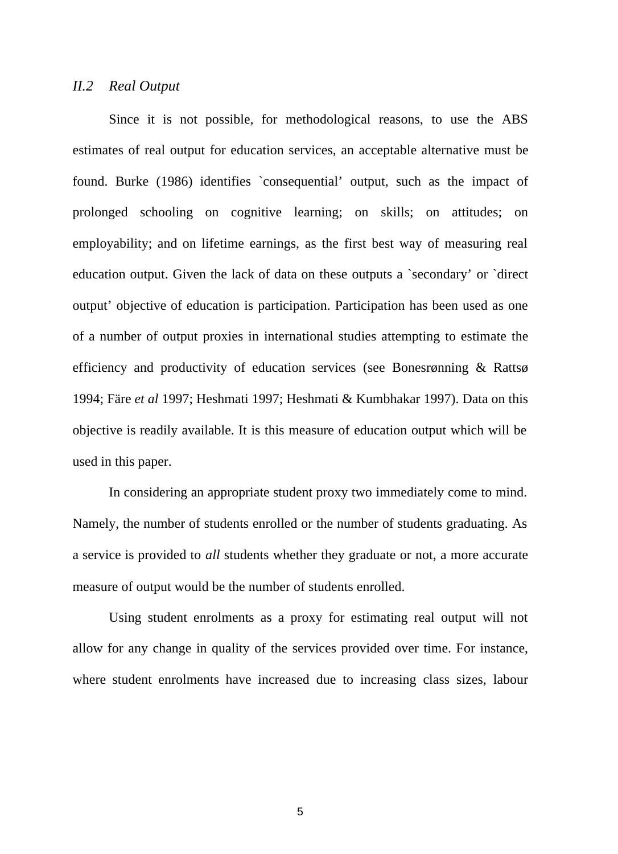### *II.2 Real Output*

Since it is not possible, for methodological reasons, to use the ABS estimates of real output for education services, an acceptable alternative must be found. Burke (1986) identifies `consequential' output, such as the impact of prolonged schooling on cognitive learning; on skills; on attitudes; on employability; and on lifetime earnings, as the first best way of measuring real education output. Given the lack of data on these outputs a `secondary' or `direct output' objective of education is participation. Participation has been used as one of a number of output proxies in international studies attempting to estimate the efficiency and productivity of education services (see Bonesrønning & Rattsø 1994; Färe *et al* 1997; Heshmati 1997; Heshmati & Kumbhakar 1997). Data on this objective is readily available. It is this measure of education output which will be used in this paper.

In considering an appropriate student proxy two immediately come to mind. Namely, the number of students enrolled or the number of students graduating. As a service is provided to *all* students whether they graduate or not, a more accurate measure of output would be the number of students enrolled.

Using student enrolments as a proxy for estimating real output will not allow for any change in quality of the services provided over time. For instance, where student enrolments have increased due to increasing class sizes, labour

5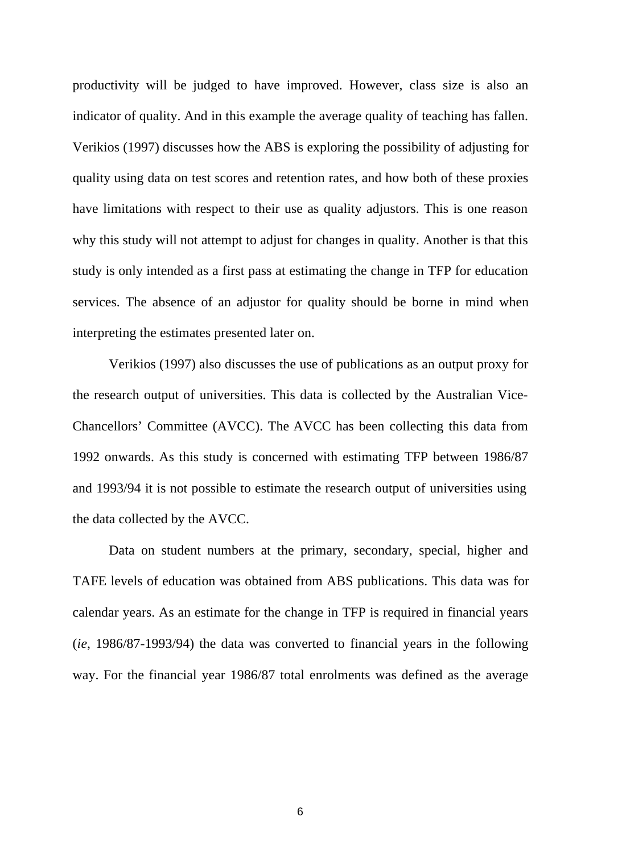productivity will be judged to have improved. However, class size is also an indicator of quality. And in this example the average quality of teaching has fallen. Verikios (1997) discusses how the ABS is exploring the possibility of adjusting for quality using data on test scores and retention rates, and how both of these proxies have limitations with respect to their use as quality adjustors. This is one reason why this study will not attempt to adjust for changes in quality. Another is that this study is only intended as a first pass at estimating the change in TFP for education services. The absence of an adjustor for quality should be borne in mind when interpreting the estimates presented later on.

Verikios (1997) also discusses the use of publications as an output proxy for the research output of universities. This data is collected by the Australian Vice-Chancellors' Committee (AVCC). The AVCC has been collecting this data from 1992 onwards. As this study is concerned with estimating TFP between 1986/87 and 1993/94 it is not possible to estimate the research output of universities using the data collected by the AVCC.

Data on student numbers at the primary, secondary, special, higher and TAFE levels of education was obtained from ABS publications. This data was for calendar years. As an estimate for the change in TFP is required in financial years (*ie*, 1986/87-1993/94) the data was converted to financial years in the following way. For the financial year 1986/87 total enrolments was defined as the average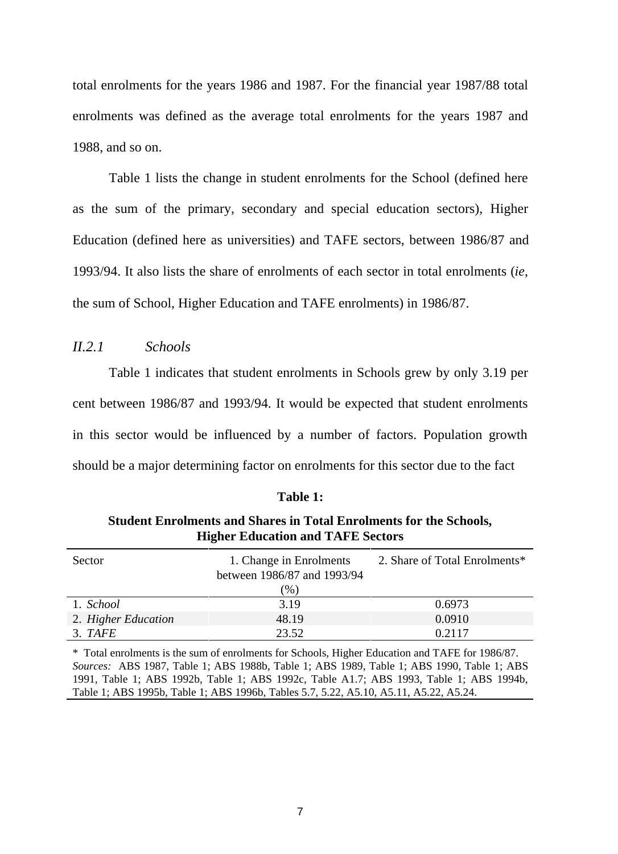total enrolments for the years 1986 and 1987. For the financial year 1987/88 total enrolments was defined as the average total enrolments for the years 1987 and 1988, and so on.

Table 1 lists the change in student enrolments for the School (defined here as the sum of the primary, secondary and special education sectors), Higher Education (defined here as universities) and TAFE sectors, between 1986/87 and 1993/94. It also lists the share of enrolments of each sector in total enrolments (*ie*, the sum of School, Higher Education and TAFE enrolments) in 1986/87.

### *II.2.1 Schools*

Table 1 indicates that student enrolments in Schools grew by only 3.19 per cent between 1986/87 and 1993/94. It would be expected that student enrolments in this sector would be influenced by a number of factors. Population growth should be a major determining factor on enrolments for this sector due to the fact

|                     | $1.11$ $1.11$ $1.11$ $1.11$ $1.11$ $1.11$ $1.11$ $1.11$ $1.11$ $1.11$ $1.11$ $1.11$ |                               |
|---------------------|-------------------------------------------------------------------------------------|-------------------------------|
| Sector              | 1. Change in Enrolments                                                             | 2. Share of Total Enrolments* |
|                     | between 1986/87 and 1993/94                                                         |                               |
|                     | (%)                                                                                 |                               |
| 1. School           | 3.19                                                                                | 0.6973                        |
| 2. Higher Education | 48.19                                                                               | 0.0910                        |
| 3. TAFE             | 23.52                                                                               | 0.2117                        |

### **Table 1:**

### **Student Enrolments and Shares in Total Enrolments for the Schools, Higher Education and TAFE Sectors**

\* Total enrolments is the sum of enrolments for Schools, Higher Education and TAFE for 1986/87. *Sources:* ABS 1987, Table 1; ABS 1988b, Table 1; ABS 1989, Table 1; ABS 1990, Table 1; ABS 1991, Table 1; ABS 1992b, Table 1; ABS 1992c, Table A1.7; ABS 1993, Table 1; ABS 1994b, Table 1; ABS 1995b, Table 1; ABS 1996b, Tables 5.7, 5.22, A5.10, A5.11, A5.22, A5.24.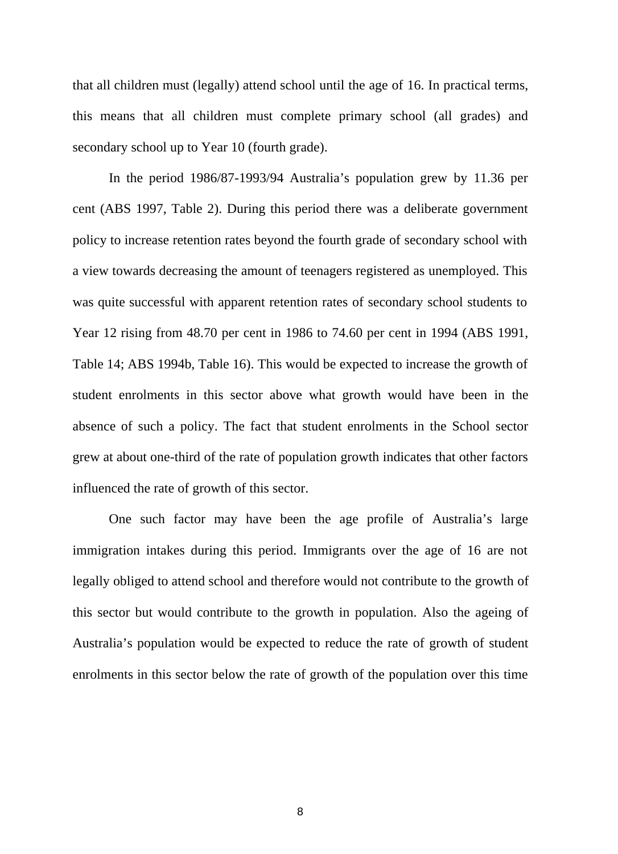that all children must (legally) attend school until the age of 16. In practical terms, this means that all children must complete primary school (all grades) and secondary school up to Year 10 (fourth grade).

In the period 1986/87-1993/94 Australia's population grew by 11.36 per cent (ABS 1997, Table 2). During this period there was a deliberate government policy to increase retention rates beyond the fourth grade of secondary school with a view towards decreasing the amount of teenagers registered as unemployed. This was quite successful with apparent retention rates of secondary school students to Year 12 rising from 48.70 per cent in 1986 to 74.60 per cent in 1994 (ABS 1991, Table 14; ABS 1994b, Table 16). This would be expected to increase the growth of student enrolments in this sector above what growth would have been in the absence of such a policy. The fact that student enrolments in the School sector grew at about one-third of the rate of population growth indicates that other factors influenced the rate of growth of this sector.

One such factor may have been the age profile of Australia's large immigration intakes during this period. Immigrants over the age of 16 are not legally obliged to attend school and therefore would not contribute to the growth of this sector but would contribute to the growth in population. Also the ageing of Australia's population would be expected to reduce the rate of growth of student enrolments in this sector below the rate of growth of the population over this time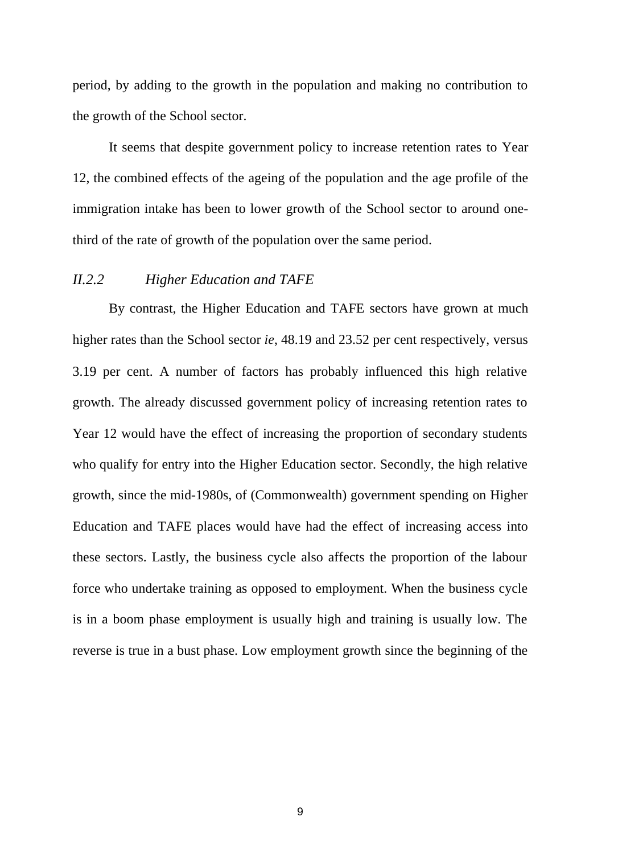period, by adding to the growth in the population and making no contribution to the growth of the School sector.

It seems that despite government policy to increase retention rates to Year 12, the combined effects of the ageing of the population and the age profile of the immigration intake has been to lower growth of the School sector to around onethird of the rate of growth of the population over the same period.

### *II.2.2 Higher Education and TAFE*

By contrast, the Higher Education and TAFE sectors have grown at much higher rates than the School sector *ie*, 48.19 and 23.52 per cent respectively, versus 3.19 per cent. A number of factors has probably influenced this high relative growth. The already discussed government policy of increasing retention rates to Year 12 would have the effect of increasing the proportion of secondary students who qualify for entry into the Higher Education sector. Secondly, the high relative growth, since the mid-1980s, of (Commonwealth) government spending on Higher Education and TAFE places would have had the effect of increasing access into these sectors. Lastly, the business cycle also affects the proportion of the labour force who undertake training as opposed to employment. When the business cycle is in a boom phase employment is usually high and training is usually low. The reverse is true in a bust phase. Low employment growth since the beginning of the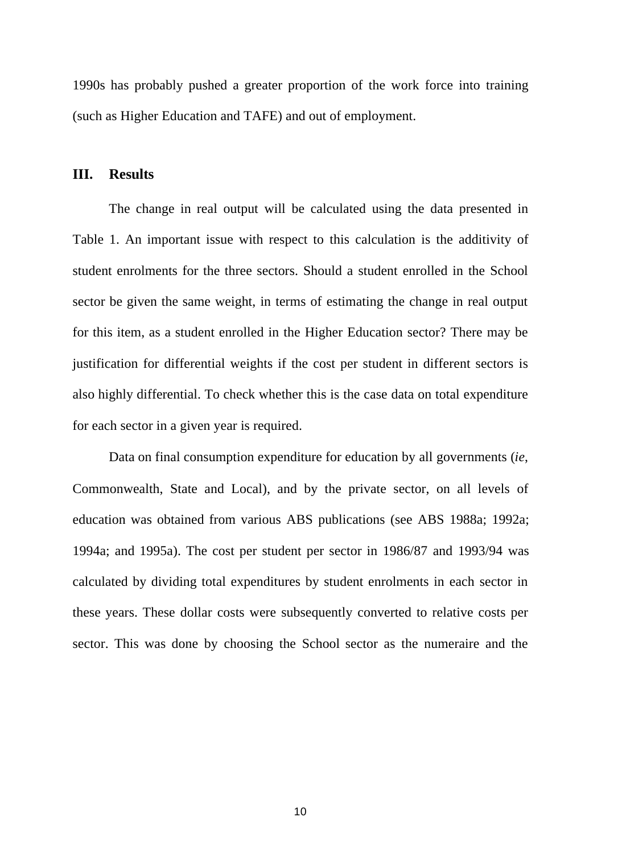1990s has probably pushed a greater proportion of the work force into training (such as Higher Education and TAFE) and out of employment.

### **III. Results**

The change in real output will be calculated using the data presented in Table 1. An important issue with respect to this calculation is the additivity of student enrolments for the three sectors. Should a student enrolled in the School sector be given the same weight, in terms of estimating the change in real output for this item, as a student enrolled in the Higher Education sector? There may be justification for differential weights if the cost per student in different sectors is also highly differential. To check whether this is the case data on total expenditure for each sector in a given year is required.

Data on final consumption expenditure for education by all governments (*ie*, Commonwealth, State and Local), and by the private sector, on all levels of education was obtained from various ABS publications (see ABS 1988a; 1992a; 1994a; and 1995a). The cost per student per sector in 1986/87 and 1993/94 was calculated by dividing total expenditures by student enrolments in each sector in these years. These dollar costs were subsequently converted to relative costs per sector. This was done by choosing the School sector as the numeraire and the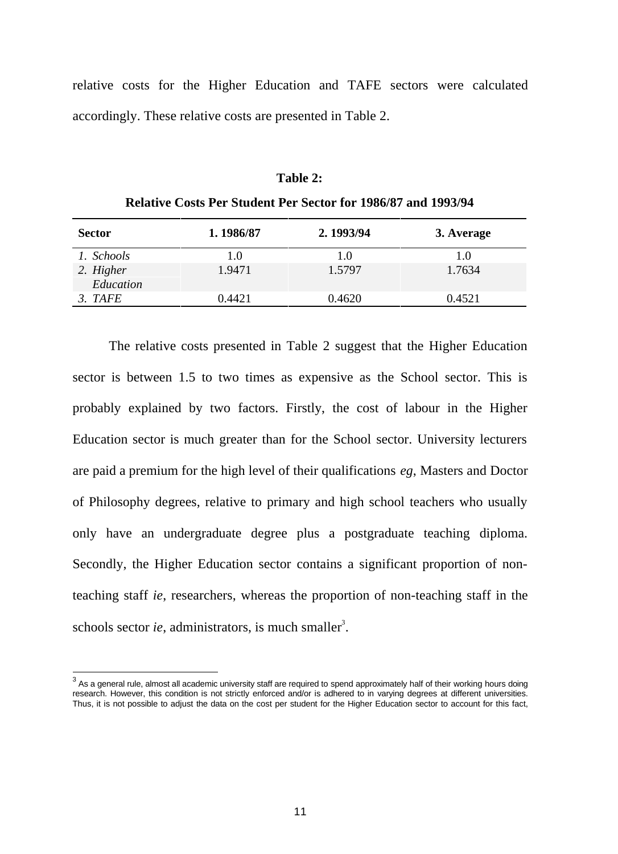relative costs for the Higher Education and TAFE sectors were calculated accordingly. These relative costs are presented in Table 2.

### **Table 2:**

| <b>Relative Costs Per Student Per Sector for 1986/87 and 1993/94</b> |  |  |
|----------------------------------------------------------------------|--|--|
|----------------------------------------------------------------------|--|--|

| <b>Sector</b>          | 1.1986/87 | 2.1993/94 | 3. Average |
|------------------------|-----------|-----------|------------|
| 1. Schools             | 1.0       | 1.0       | 1.0        |
| 2. Higher<br>Education | 1.9471    | 1.5797    | 1.7634     |
| 3. TAFE                | 0.4421    | 0.4620    | 0.4521     |

The relative costs presented in Table 2 suggest that the Higher Education sector is between 1.5 to two times as expensive as the School sector. This is probably explained by two factors. Firstly, the cost of labour in the Higher Education sector is much greater than for the School sector. University lecturers are paid a premium for the high level of their qualifications *eg*, Masters and Doctor of Philosophy degrees, relative to primary and high school teachers who usually only have an undergraduate degree plus a postgraduate teaching diploma. Secondly, the Higher Education sector contains a significant proportion of nonteaching staff *ie*, researchers, whereas the proportion of non-teaching staff in the schools sector *ie*, administrators, is much smaller<sup>3</sup>.

 3 As a general rule, almost all academic university staff are required to spend approximately half of their working hours doing research. However, this condition is not strictly enforced and/or is adhered to in varying degrees at different universities. Thus, it is not possible to adjust the data on the cost per student for the Higher Education sector to account for this fact,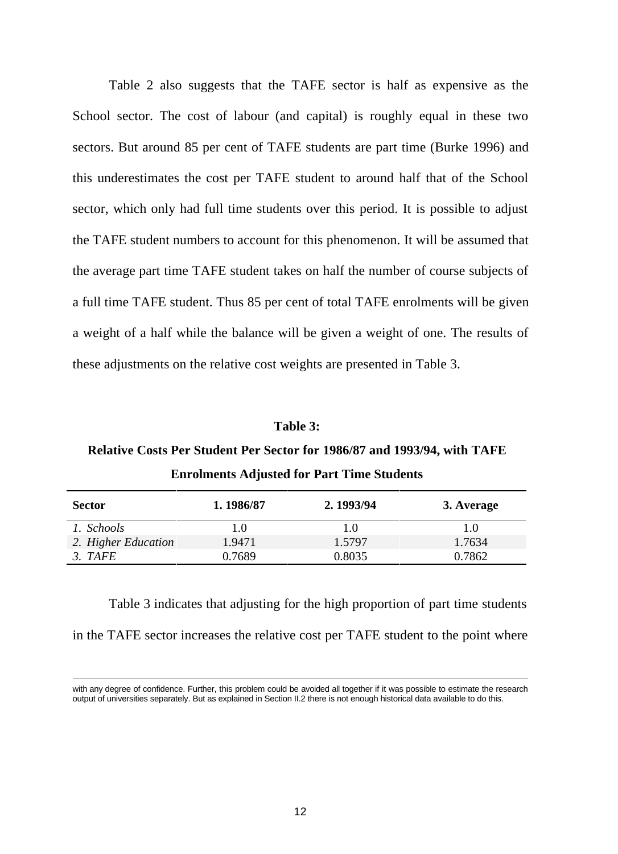Table 2 also suggests that the TAFE sector is half as expensive as the School sector. The cost of labour (and capital) is roughly equal in these two sectors. But around 85 per cent of TAFE students are part time (Burke 1996) and this underestimates the cost per TAFE student to around half that of the School sector, which only had full time students over this period. It is possible to adjust the TAFE student numbers to account for this phenomenon. It will be assumed that the average part time TAFE student takes on half the number of course subjects of a full time TAFE student. Thus 85 per cent of total TAFE enrolments will be given a weight of a half while the balance will be given a weight of one. The results of these adjustments on the relative cost weights are presented in Table 3.

### **Table 3:**

## **Relative Costs Per Student Per Sector for 1986/87 and 1993/94, with TAFE**

| <b>Sector</b>       | 1.1986/87 | 2.1993/94 | 3. Average |
|---------------------|-----------|-----------|------------|
| 1. Schools          | LO.       | 1.0       | 1.0        |
| 2. Higher Education | 1.9471    | 1.5797    | 1.7634     |
| 3. TAFE             | 0.7689    | 0.8035    | 0.7862     |

| <b>Enrolments Adjusted for Part Time Students</b> |  |  |
|---------------------------------------------------|--|--|
|---------------------------------------------------|--|--|

Table 3 indicates that adjusting for the high proportion of part time students in the TAFE sector increases the relative cost per TAFE student to the point where

with any degree of confidence. Further, this problem could be avoided all together if it was possible to estimate the research output of universities separately. But as explained in Section II.2 there is not enough historical data available to do this.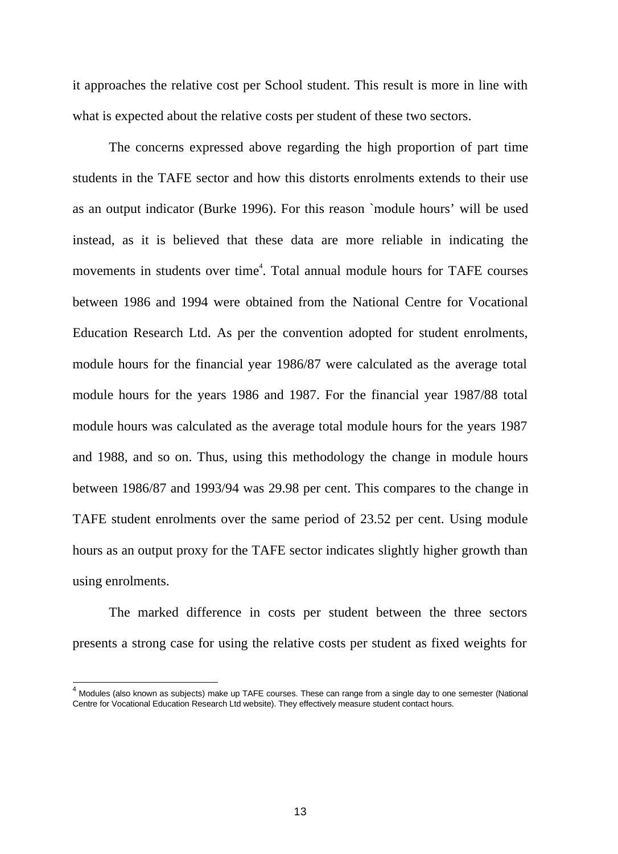it approaches the relative cost per School student. This result is more in line with what is expected about the relative costs per student of these two sectors.

The concerns expressed above regarding the high proportion of part time students in the TAFE sector and how this distorts enrolments extends to their use as an output indicator (Burke 1996). For this reason `module hours' will be used instead, as it is believed that these data are more reliable in indicating the movements in students over time<sup>4</sup>. Total annual module hours for TAFE courses between 1986 and 1994 were obtained from the National Centre for Vocational Education Research Ltd. As per the convention adopted for student enrolments, module hours for the financial year 1986/87 were calculated as the average total module hours for the years 1986 and 1987. For the financial year 1987/88 total module hours was calculated as the average total module hours for the years 1987 and 1988, and so on. Thus, using this methodology the change in module hours between 1986/87 and 1993/94 was 29.98 per cent. This compares to the change in TAFE student enrolments over the same period of 23.52 per cent. Using module hours as an output proxy for the TAFE sector indicates slightly higher growth than using enrolments.

The marked difference in costs per student between the three sectors presents a strong case for using the relative costs per student as fixed weights for

 $\overline{a}$ 

<sup>&</sup>lt;sup>4</sup> Modules (also known as subjects) make up TAFE courses. These can range from a single day to one semester (National Centre for Vocational Education Research Ltd website). They effectively measure student contact hours.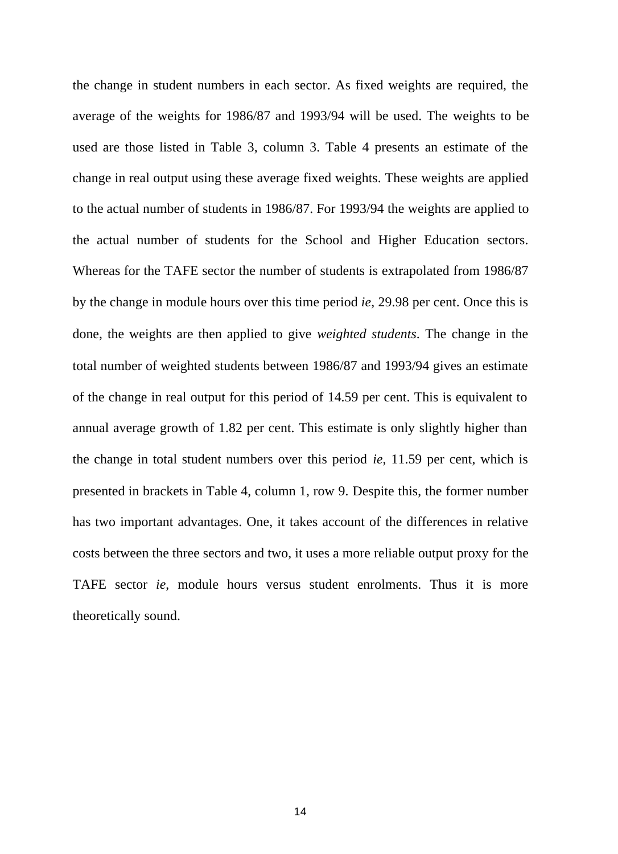the change in student numbers in each sector. As fixed weights are required, the average of the weights for 1986/87 and 1993/94 will be used. The weights to be used are those listed in Table 3, column 3. Table 4 presents an estimate of the change in real output using these average fixed weights. These weights are applied to the actual number of students in 1986/87. For 1993/94 the weights are applied to the actual number of students for the School and Higher Education sectors. Whereas for the TAFE sector the number of students is extrapolated from 1986/87 by the change in module hours over this time period *ie*, 29.98 per cent. Once this is done, the weights are then applied to give *weighted students*. The change in the total number of weighted students between 1986/87 and 1993/94 gives an estimate of the change in real output for this period of 14.59 per cent. This is equivalent to annual average growth of 1.82 per cent. This estimate is only slightly higher than the change in total student numbers over this period *ie*, 11.59 per cent, which is presented in brackets in Table 4, column 1, row 9. Despite this, the former number has two important advantages. One, it takes account of the differences in relative costs between the three sectors and two, it uses a more reliable output proxy for the TAFE sector *ie*, module hours versus student enrolments. Thus it is more theoretically sound.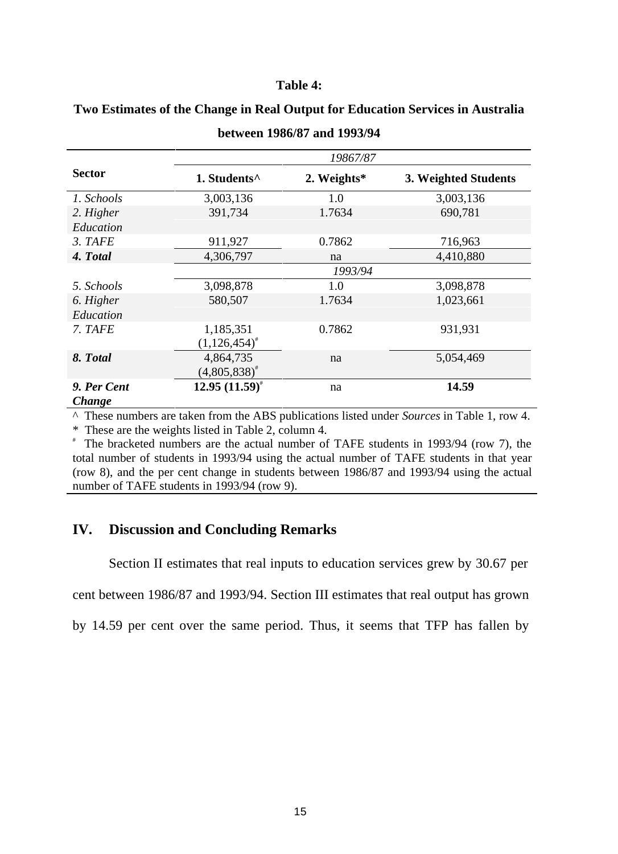### **Table 4:**

|               |                          | 19867/87    |                      |
|---------------|--------------------------|-------------|----------------------|
| <b>Sector</b> | 1. Students <sup>^</sup> | 2. Weights* | 3. Weighted Students |
| 1. Schools    | 3,003,136                | 1.0         | 3,003,136            |
| 2. Higher     | 391,734                  | 1.7634      | 690,781              |
| Education     |                          |             |                      |
| 3. TAFE       | 911,927                  | 0.7862      | 716,963              |
| 4. Total      | 4,306,797                | na          | 4,410,880            |
|               |                          | 1993/94     |                      |
| 5. Schools    | 3,098,878                | 1.0         | 3,098,878            |
| 6. Higher     | 580,507                  | 1.7634      | 1,023,661            |
| Education     |                          |             |                      |
| 7. TAFE       | 1,185,351                | 0.7862      | 931,931              |
|               | $(1,126,454)^{*}$        |             |                      |
| 8. Total      | 4,864,735                | na          | 5,054,469            |
|               | $(4,805,838)^{*}$        |             |                      |
| 9. Per Cent   | $12.95(11.59)^{*}$       | na          | 14.59                |
| <b>Change</b> |                          |             |                      |

### **Two Estimates of the Change in Real Output for Education Services in Australia**

**between 1986/87 and 1993/94**

^ These numbers are taken from the ABS publications listed under *Sources* in Table 1, row 4.

\* These are the weights listed in Table 2, column 4.

# The bracketed numbers are the actual number of TAFE students in 1993/94 (row 7), the total number of students in 1993/94 using the actual number of TAFE students in that year (row 8), and the per cent change in students between 1986/87 and 1993/94 using the actual number of TAFE students in 1993/94 (row 9).

### **IV. Discussion and Concluding Remarks**

Section II estimates that real inputs to education services grew by 30.67 per

cent between 1986/87 and 1993/94. Section III estimates that real output has grown

by 14.59 per cent over the same period. Thus, it seems that TFP has fallen by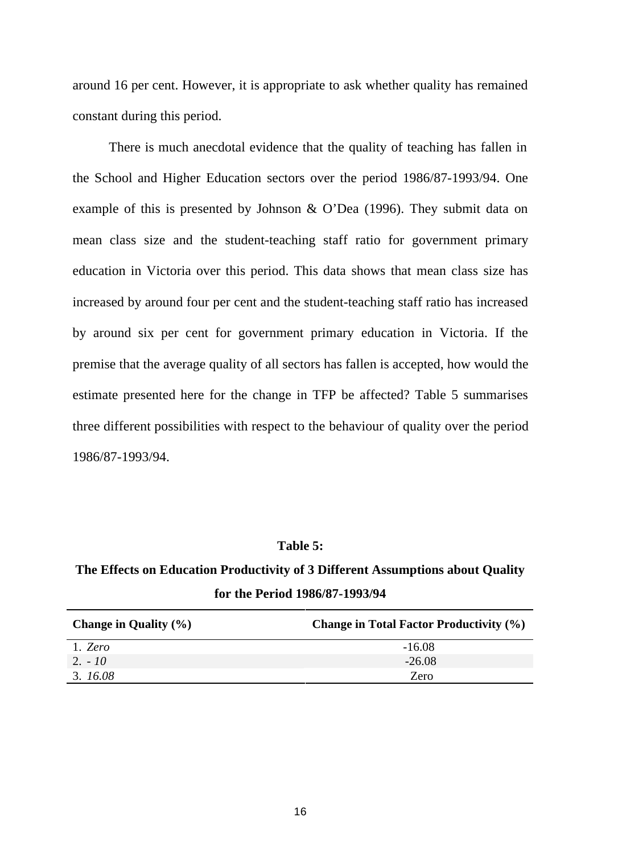around 16 per cent. However, it is appropriate to ask whether quality has remained constant during this period.

There is much anecdotal evidence that the quality of teaching has fallen in the School and Higher Education sectors over the period 1986/87-1993/94. One example of this is presented by Johnson & O'Dea (1996). They submit data on mean class size and the student-teaching staff ratio for government primary education in Victoria over this period. This data shows that mean class size has increased by around four per cent and the student-teaching staff ratio has increased by around six per cent for government primary education in Victoria. If the premise that the average quality of all sectors has fallen is accepted, how would the estimate presented here for the change in TFP be affected? Table 5 summarises three different possibilities with respect to the behaviour of quality over the period 1986/87-1993/94.

### **Table 5:**

### **The Effects on Education Productivity of 3 Different Assumptions about Quality for the Period 1986/87-1993/94**

| Change in Quality $(\% )$ | <b>Change in Total Factor Productivity (%)</b> |
|---------------------------|------------------------------------------------|
| 1. Zero                   | $-16.08$                                       |
| $2. - 10$                 | $-26.08$                                       |
| 3.16.08                   | Zero                                           |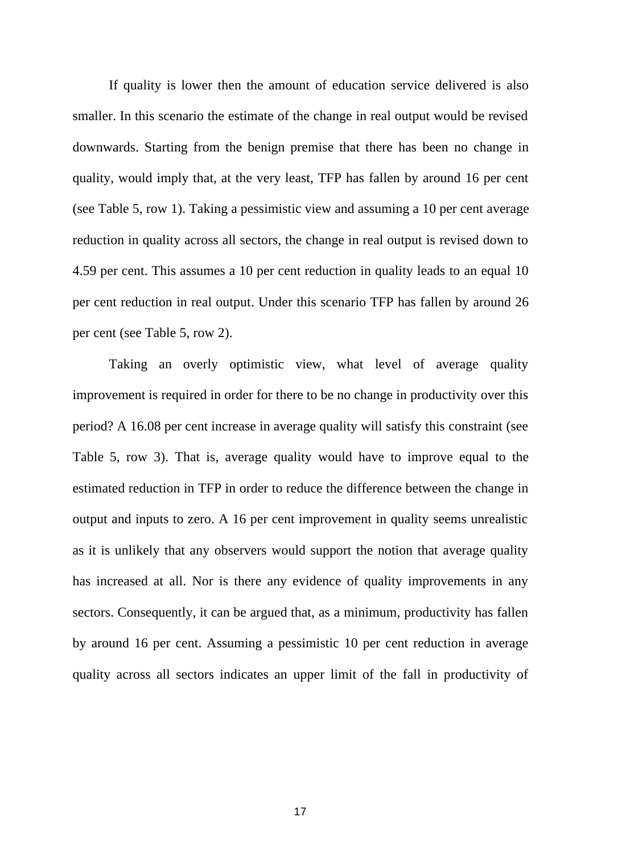If quality is lower then the amount of education service delivered is also smaller. In this scenario the estimate of the change in real output would be revised downwards. Starting from the benign premise that there has been no change in quality, would imply that, at the very least, TFP has fallen by around 16 per cent (see Table 5, row 1). Taking a pessimistic view and assuming a 10 per cent average reduction in quality across all sectors, the change in real output is revised down to 4.59 per cent. This assumes a 10 per cent reduction in quality leads to an equal 10 per cent reduction in real output. Under this scenario TFP has fallen by around 26 per cent (see Table 5, row 2).

Taking an overly optimistic view, what level of average quality improvement is required in order for there to be no change in productivity over this period? A 16.08 per cent increase in average quality will satisfy this constraint (see Table 5, row 3). That is, average quality would have to improve equal to the estimated reduction in TFP in order to reduce the difference between the change in output and inputs to zero. A 16 per cent improvement in quality seems unrealistic as it is unlikely that any observers would support the notion that average quality has increased at all. Nor is there any evidence of quality improvements in any sectors. Consequently, it can be argued that, as a minimum, productivity has fallen by around 16 per cent. Assuming a pessimistic 10 per cent reduction in average quality across all sectors indicates an upper limit of the fall in productivity of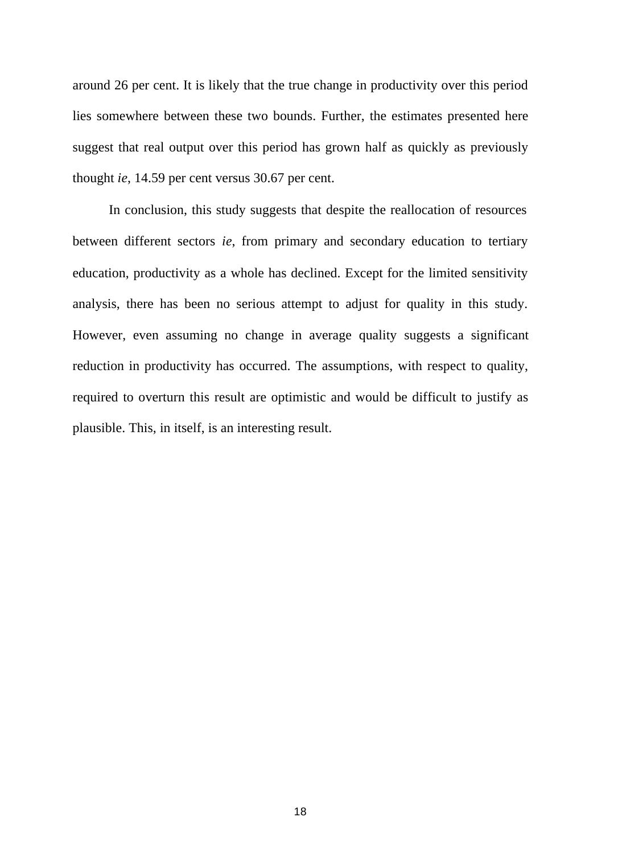around 26 per cent. It is likely that the true change in productivity over this period lies somewhere between these two bounds. Further, the estimates presented here suggest that real output over this period has grown half as quickly as previously thought *ie*, 14.59 per cent versus 30.67 per cent.

In conclusion, this study suggests that despite the reallocation of resources between different sectors *ie*, from primary and secondary education to tertiary education, productivity as a whole has declined. Except for the limited sensitivity analysis, there has been no serious attempt to adjust for quality in this study. However, even assuming no change in average quality suggests a significant reduction in productivity has occurred. The assumptions, with respect to quality, required to overturn this result are optimistic and would be difficult to justify as plausible. This, in itself, is an interesting result.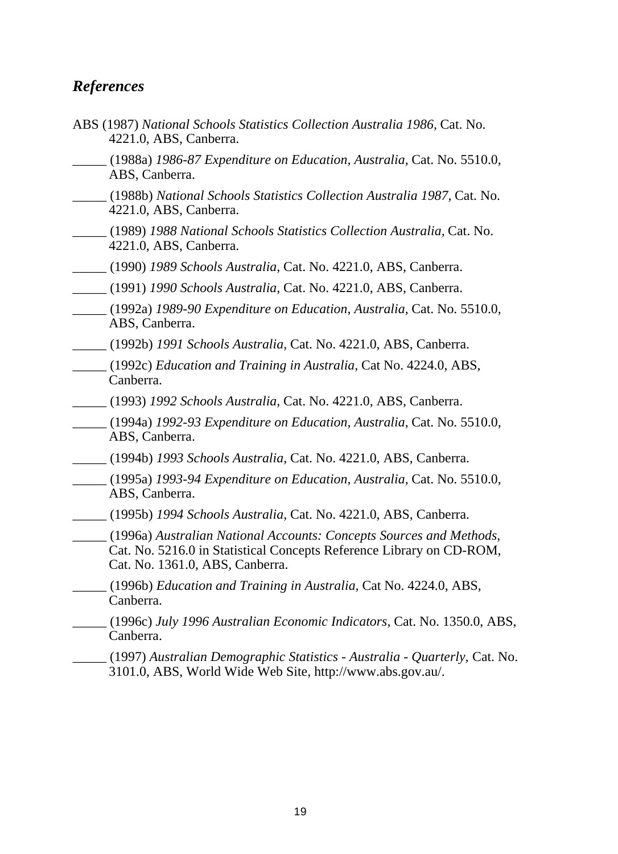### *References*

- ABS (1987) *National Schools Statistics Collection Australia 1986,* Cat. No. 4221.0, ABS, Canberra.
- \_\_\_\_\_ (1988a) *1986-87 Expenditure on Education, Australia,* Cat. No. 5510.0, ABS, Canberra.
- \_\_\_\_\_ (1988b) *National Schools Statistics Collection Australia 1987,* Cat. No. 4221.0, ABS, Canberra.
- \_\_\_\_\_ (1989) *1988 National Schools Statistics Collection Australia,* Cat. No. 4221.0, ABS, Canberra.
- \_\_\_\_\_ (1990) *1989 Schools Australia,* Cat. No. 4221.0, ABS, Canberra.
- \_\_\_\_\_ (1991) *1990 Schools Australia,* Cat. No. 4221.0, ABS, Canberra.
- \_\_\_\_\_ (1992a) *1989-90 Expenditure on Education, Australia,* Cat. No. 5510.0, ABS, Canberra.
- \_\_\_\_\_ (1992b) *1991 Schools Australia,* Cat. No. 4221.0, ABS, Canberra.
- \_\_\_\_\_ (1992c) *Education and Training in Australia,* Cat No. 4224.0, ABS, Canberra.
- \_\_\_\_\_ (1993) *1992 Schools Australia,* Cat. No. 4221.0, ABS, Canberra.
- \_\_\_\_\_ (1994a) *1992-93 Expenditure on Education, Australia,* Cat. No. 5510.0, ABS, Canberra.
- \_\_\_\_\_ (1994b) *1993 Schools Australia,* Cat. No. 4221.0, ABS, Canberra.
- \_\_\_\_\_ (1995a) *1993-94 Expenditure on Education, Australia,* Cat. No. 5510.0, ABS, Canberra.
- \_\_\_\_\_ (1995b) *1994 Schools Australia,* Cat. No. 4221.0, ABS, Canberra.
- \_\_\_\_\_ (1996a) *Australian National Accounts: Concepts Sources and Methods,*  Cat. No. 5216.0 in Statistical Concepts Reference Library on CD-ROM, Cat. No. 1361.0, ABS, Canberra.
- \_\_\_\_\_ (1996b) *Education and Training in Australia,* Cat No. 4224.0, ABS, Canberra.
- \_\_\_\_\_ (1996c) *July 1996 Australian Economic Indicators,* Cat. No. 1350.0, ABS, Canberra.
- \_\_\_\_\_ (1997) *Australian Demographic Statistics Australia Quarterly,* Cat. No. 3101.0, ABS, World Wide Web Site, http://www.abs.gov.au/.